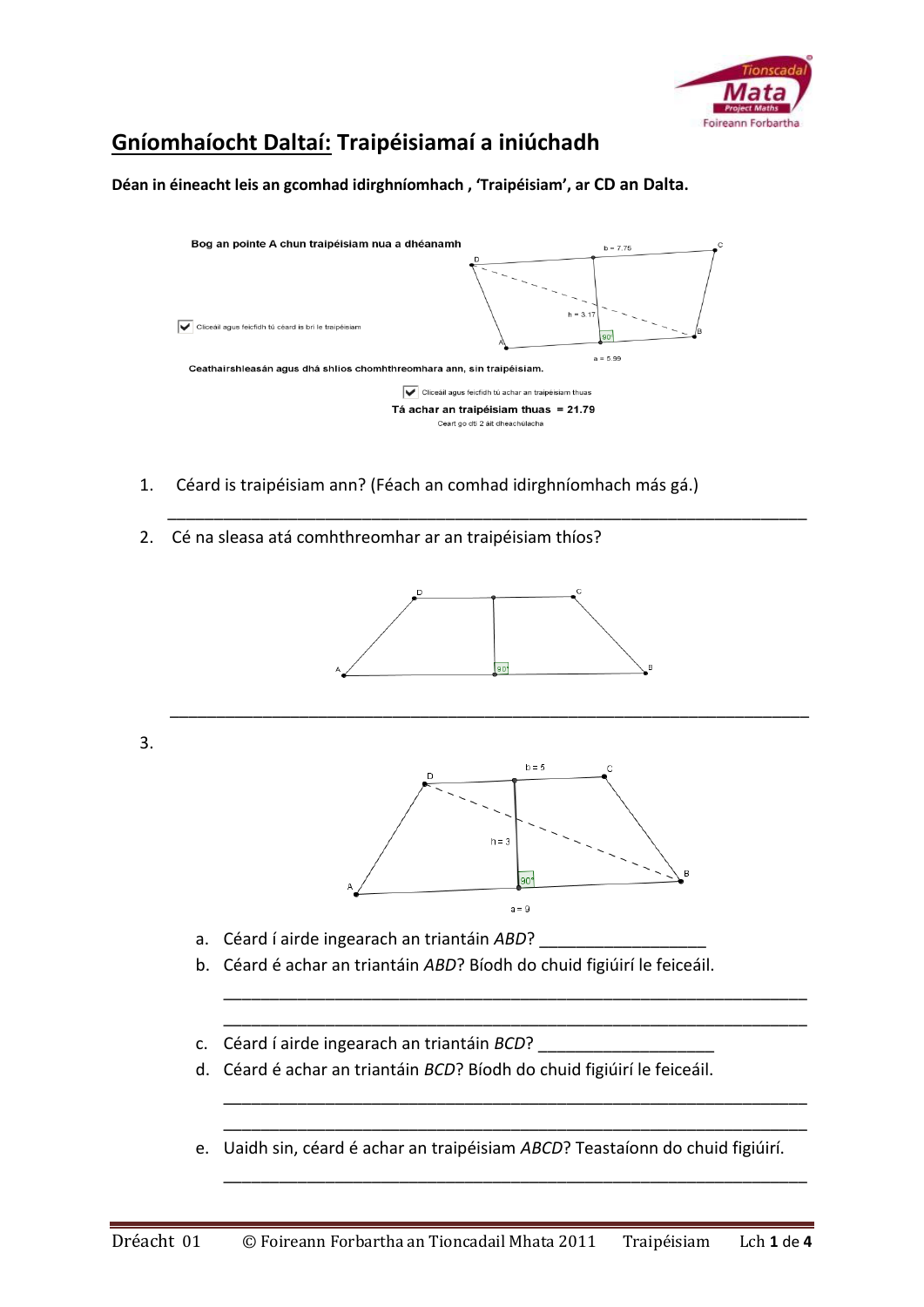

## **Gníomhaíocht Daltaí: Traipéisiamaí a iniúchadh**

**Déan in éineacht leis an gcomhad idirghníomhach , 'Traipéisiam', ar CD an Dalta.**



1. Céard is traipéisiam ann? (Féach an comhad idirghníomhach más gá.)

\_\_\_\_\_\_\_\_\_\_\_\_\_\_\_\_\_\_\_\_\_\_\_\_\_\_\_\_\_\_\_\_\_\_\_\_\_\_\_\_\_\_\_\_\_\_\_\_\_\_\_\_\_\_\_\_\_\_\_\_\_\_\_\_\_\_\_\_\_

2. Cé na sleasa atá comhthreomhar ar an traipéisiam thíos?

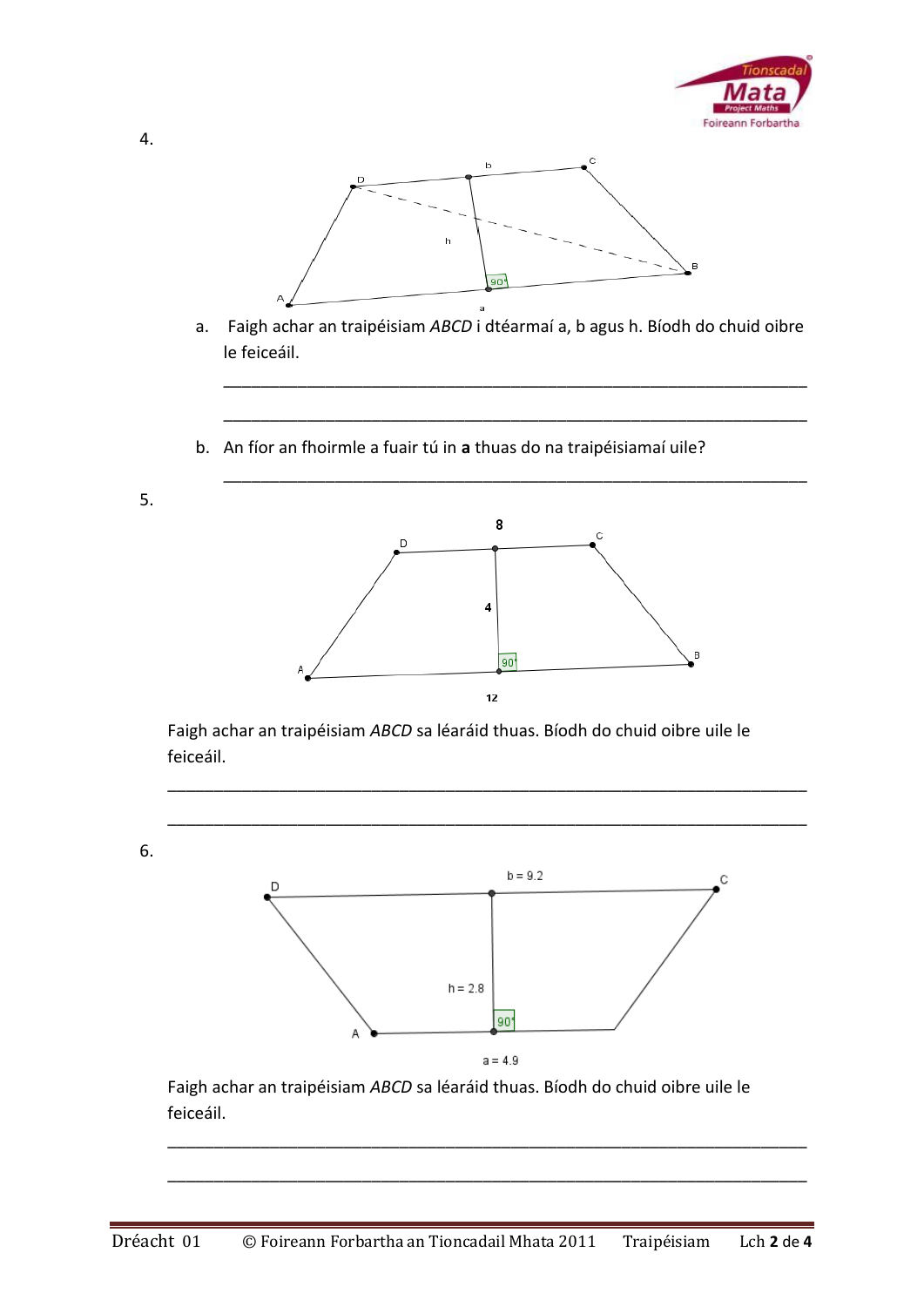



a. Faigh achar an traipéisiam *ABCD* i dtéarmaí a, b agus h. Bíodh do chuid oibre le feiceáil.

\_\_\_\_\_\_\_\_\_\_\_\_\_\_\_\_\_\_\_\_\_\_\_\_\_\_\_\_\_\_\_\_\_\_\_\_\_\_\_\_\_\_\_\_\_\_\_\_\_\_\_\_\_\_\_\_\_\_\_\_\_\_\_

\_\_\_\_\_\_\_\_\_\_\_\_\_\_\_\_\_\_\_\_\_\_\_\_\_\_\_\_\_\_\_\_\_\_\_\_\_\_\_\_\_\_\_\_\_\_\_\_\_\_\_\_\_\_\_\_\_\_\_\_\_\_\_

b. An fíor an fhoirmle a fuair tú in **a** thuas do na traipéisiamaí uile?



Faigh achar an traipéisiam *ABCD* sa léaráid thuas. Bíodh do chuid oibre uile le feiceáil.

\_\_\_\_\_\_\_\_\_\_\_\_\_\_\_\_\_\_\_\_\_\_\_\_\_\_\_\_\_\_\_\_\_\_\_\_\_\_\_\_\_\_\_\_\_\_\_\_\_\_\_\_\_\_\_\_\_\_\_\_\_\_\_\_\_\_\_\_\_



Faigh achar an traipéisiam *ABCD* sa léaráid thuas. Bíodh do chuid oibre uile le feiceáil.

\_\_\_\_\_\_\_\_\_\_\_\_\_\_\_\_\_\_\_\_\_\_\_\_\_\_\_\_\_\_\_\_\_\_\_\_\_\_\_\_\_\_\_\_\_\_\_\_\_\_\_\_\_\_\_\_\_\_\_\_\_\_\_\_\_\_\_\_\_

\_\_\_\_\_\_\_\_\_\_\_\_\_\_\_\_\_\_\_\_\_\_\_\_\_\_\_\_\_\_\_\_\_\_\_\_\_\_\_\_\_\_\_\_\_\_\_\_\_\_\_\_\_\_\_\_\_\_\_\_\_\_\_\_\_\_\_\_\_

4.

6.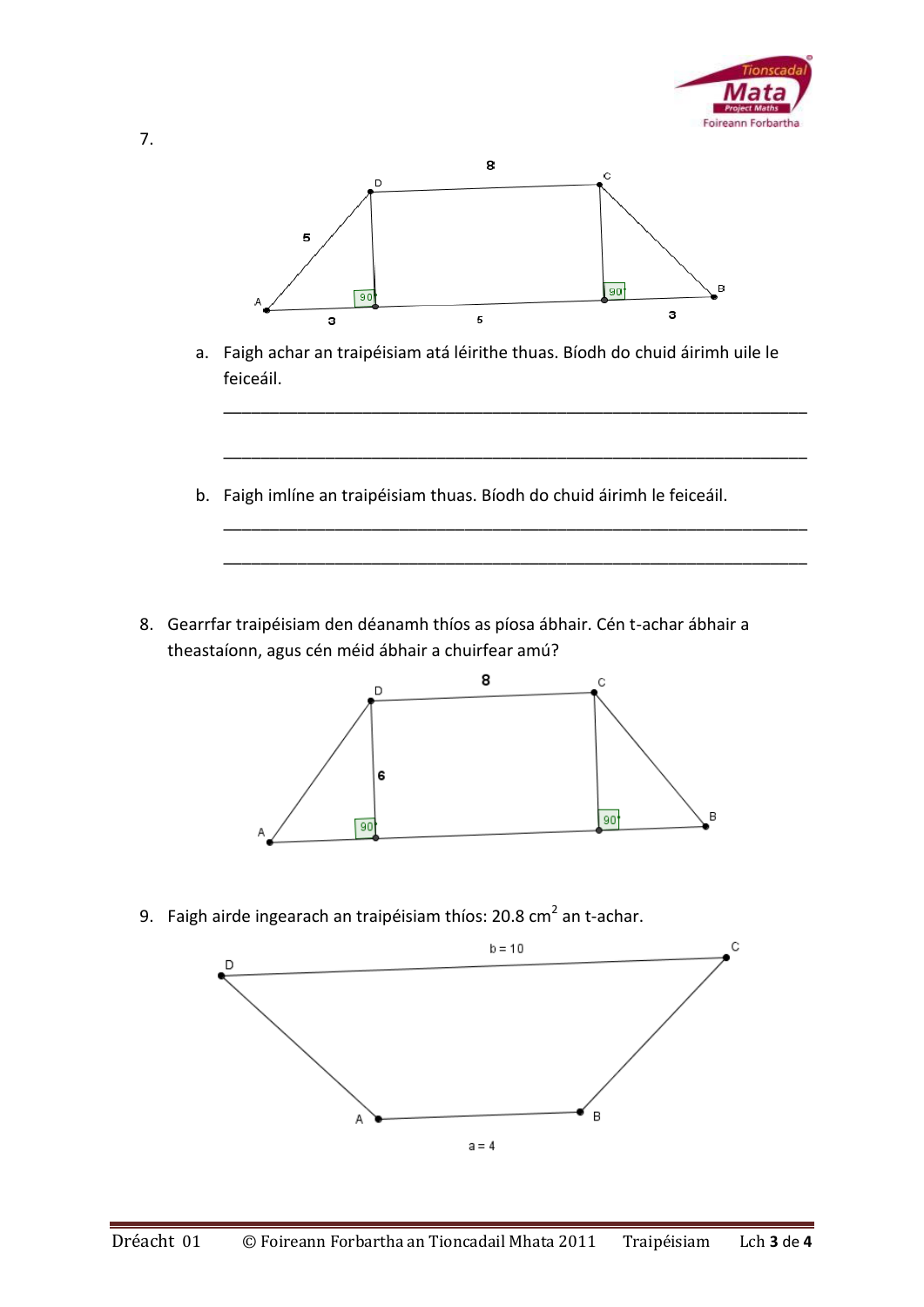



7.

a. Faigh achar an traipéisiam atá léirithe thuas. Bíodh do chuid áirimh uile le feiceáil.

\_\_\_\_\_\_\_\_\_\_\_\_\_\_\_\_\_\_\_\_\_\_\_\_\_\_\_\_\_\_\_\_\_\_\_\_\_\_\_\_\_\_\_\_\_\_\_\_\_\_\_\_\_\_\_\_\_\_\_\_\_\_\_

\_\_\_\_\_\_\_\_\_\_\_\_\_\_\_\_\_\_\_\_\_\_\_\_\_\_\_\_\_\_\_\_\_\_\_\_\_\_\_\_\_\_\_\_\_\_\_\_\_\_\_\_\_\_\_\_\_\_\_\_\_\_\_

\_\_\_\_\_\_\_\_\_\_\_\_\_\_\_\_\_\_\_\_\_\_\_\_\_\_\_\_\_\_\_\_\_\_\_\_\_\_\_\_\_\_\_\_\_\_\_\_\_\_\_\_\_\_\_\_\_\_\_\_\_\_\_

\_\_\_\_\_\_\_\_\_\_\_\_\_\_\_\_\_\_\_\_\_\_\_\_\_\_\_\_\_\_\_\_\_\_\_\_\_\_\_\_\_\_\_\_\_\_\_\_\_\_\_\_\_\_\_\_\_\_\_\_\_\_\_

- b. Faigh imlíne an traipéisiam thuas. Bíodh do chuid áirimh le feiceáil.
- 8. Gearrfar traipéisiam den déanamh thíos as píosa ábhair. Cén t-achar ábhair a theastaíonn, agus cén méid ábhair a chuirfear amú?



9. Faigh airde ingearach an traipéisiam thíos: 20.8 cm<sup>2</sup> an t-achar.